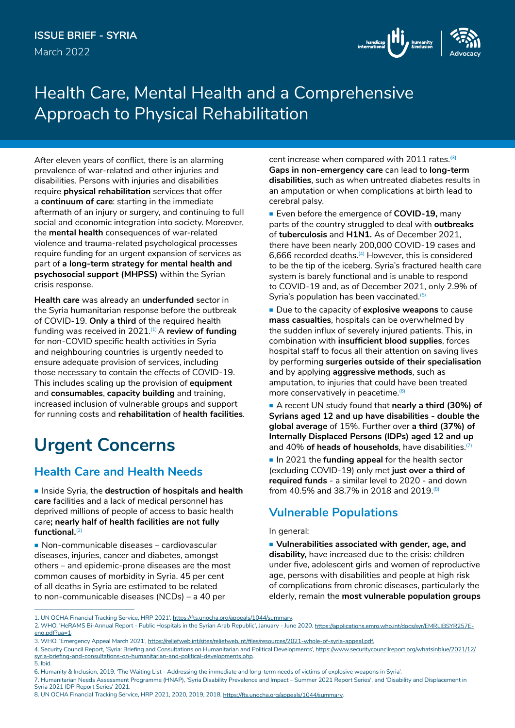

# Health Care, Mental Health and a Comprehensive Approach to Physical Rehabilitation

After eleven years of conflict, there is an alarming prevalence of war-related and other injuries and disabilities. Persons with injuries and disabilities require **physical rehabilitation** services that offer a **continuum of care**: starting in the immediate aftermath of an injury or surgery, and continuing to full social and economic integration into society. Moreover, the **mental health** consequences of war-related violence and trauma-related psychological processes require funding for an urgent expansion of services as part of **a long-term strategy for mental health and psychosocial support (MHPSS)** within the Syrian crisis response.

**Health care** was already an **underfunded** sector in the Syria humanitarian response before the outbreak of COVID-19. **Only a third** of the required health funding was received in 2021.<sup>(1)</sup> A review of funding for non-COVID specific health activities in Syria and neighbouring countries is urgently needed to ensure adequate provision of services, including those necessary to contain the effects of COVID-19. This includes scaling up the provision of **equipment** and **consumables**, **capacity building** and training, increased inclusion of vulnerable groups and support for running costs and **rehabilitation** of **health facilities**.

# **Urgent Concerns**

## **Health Care and Health Needs**

**Inside Syria, the destruction of hospitals and health care** facilities and a lack of medical personnel has deprived millions of people of access to basic health care**; nearly half of health facilities are not fully functional.**(2)

■ Non-communicable diseases – cardiovascular diseases, injuries, cancer and diabetes, amongst others – and epidemic-prone diseases are the most common causes of morbidity in Syria. 45 per cent of all deaths in Syria are estimated to be related to non-communicable diseases (NCDs) – a 40 per

cent increase when compared with 2011 rates.**(3) Gaps in non-emergency care** can lead to **long-term disabilities**, such as when untreated diabetes results in an amputation or when complications at birth lead to cerebral palsy.

**Exen before the emergence of COVID-19, many** parts of the country struggled to deal with **outbreaks** of **tuberculosis** and **H1N1.** As of December 2021, there have been nearly 200,000 COVID-19 cases and 6,666 recorded deaths.<sup>(4)</sup> However, this is considered to be the tip of the iceberg. Syria's fractured health care system is barely functional and is unable to respond to COVID-19 and, as of December 2021, only 2.9% of Syria's population has been vaccinated.<sup>(5)</sup>

**Due to the capacity of explosive weapons to cause mass casualties**, hospitals can be overwhelmed by the sudden influx of severely injured patients. This, in combination with **insufficient blood supplies**, forces hospital staff to focus all their attention on saving lives by performing **surgeries outside of their specialisation** and by applying **aggressive methods**, such as amputation, to injuries that could have been treated more conservatively in peacetime.(6)

 A recent UN study found that **nearly a third (30%) of Syrians aged 12 and up have disabilities - double the global average** of 15%. Further over **a third (37%) of Internally Displaced Persons (IDPs) aged 12 and up** and 40% of heads of households, have disabilities.<sup>[7]</sup>

In 2021 the **funding appeal** for the health sector (excluding COVID-19) only met **just over a third of required funds** - a similar level to 2020 - and down from 40.5% and 38.7% in 2018 and 2019.(8)

## **Vulnerable Populations**

#### In general:

 **Vulnerabilities associated with gender, age, and disability,** have increased due to the crisis: children under five, adolescent girls and women of reproductive age, persons with disabilities and people at high risk of complications from chronic diseases, particularly the elderly, remain the **most vulnerable population groups**

Syria 2021 IDP Report Series' 2021.

<sup>1.</sup> UN OCHA Financial Tracking Service, HRP 2021', [https://fts.unocha.org/appeals/1044/summary.](https://fts.unocha.org/appeals/1044/summary)

<sup>2.</sup> WHO, 'HeRAMS Bi-Annual Report - Public Hospitals in the Syrian Arab Republic', January - June 2020, [https://applications.emro.who.int/docs/syr/EMRLIBSYR257E](https://applications.emro.who.int/docs/syr/EMRLIBSYR257E-eng.pdf?ua=1)[eng.pdf?ua=1](https://applications.emro.who.int/docs/syr/EMRLIBSYR257E-eng.pdf?ua=1)

<sup>3.</sup> WHO, 'Emergency Appeal March 2021', https://reliefweb.int/sites/reliefweb.int/files/resources/2021-whole-of-syria-appeal.pdf.

<sup>4.</sup> Security Council Report, 'Syria: Briefing and Consultations on Humanitarian and Political Developments', [https://www.securitycouncilreport.org/whatsinblue/2021/12/](https://www.securitycouncilreport.org/whatsinblue/2021/12/syria-briefing-and-consultations-on-humanitarian-and-political-developments.php) [syria-briefing-and-consultations-on-humanitarian-and-political-developments.php](https://www.securitycouncilreport.org/whatsinblue/2021/12/syria-briefing-and-consultations-on-humanitarian-and-political-developments.php). 5. Ibid.

<sup>6.</sup> Humanity & Inclusion, 2019, 'The Waiting List - Addressing the immediate and long-term needs of victims of explosive weapons in Syria'.

<sup>7.</sup> Humanitarian Needs Assessment Programme (HNAP), 'Syria Disability Prevalence and Impact – Summer 2021 Report Series', and 'Disability and Displacement in

<sup>8.</sup> UN OCHA Financial Tracking Service, HRP 2021, 2020, 2019, 2018, [https://fts.unocha.org/appeals/1044/summary](https://fts.unocha.org/appeals/924/summary).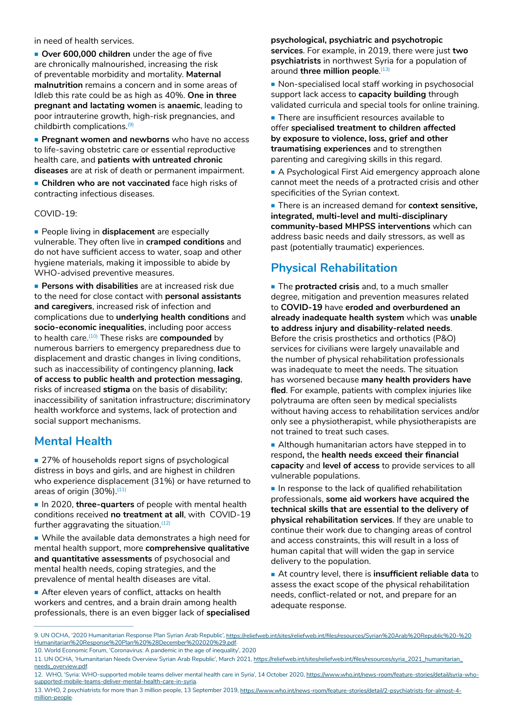in need of health services.

**Over 600,000 children** under the age of five are chronically malnourished, increasing the risk of preventable morbidity and mortality. **Maternal malnutrition** remains a concern and in some areas of Idleb this rate could be as high as 40%. **One in three pregnant and lactating women** is **anaemic**, leading to poor intrauterine growth, high-risk pregnancies, and childbirth complications.(9)

**Pregnant women and newborns** who have no access to life-saving obstetric care or essential reproductive health care, and **patients with untreated chronic diseases** are at risk of death or permanent impairment.

**Children who are not vaccinated** face high risks of contracting infectious diseases.

COVID-19:

**People living in displacement** are especially vulnerable. They often live in **cramped conditions** and do not have sufficient access to water, soap and other hygiene materials, making it impossible to abide by WHO-advised preventive measures.

 **Persons with disabilities** are at increased risk due to the need for close contact with **personal assistants and caregivers**, increased risk of infection and complications due to **underlying health conditions** and **socio-economic inequalities**, including poor access to health care.(10) These risks are **compounded** by numerous barriers to emergency preparedness due to displacement and drastic changes in living conditions, such as inaccessibility of contingency planning, **lack of access to public health and protection messaging**, risks of increased **stigma** on the basis of disability; inaccessibility of sanitation infrastructure; discriminatory health workforce and systems, lack of protection and social support mechanisms.

### **Mental Health**

■ 27% of households report signs of psychological distress in boys and girls, and are highest in children who experience displacement (31%) or have returned to areas of origin (30%).<sup>(11)</sup>

In 2020, three-quarters of people with mental health conditions received **no treatment at all**, with COVID-19 further aggravating the situation. $(12)$ 

**Nhile the available data demonstrates a high need for** mental health support, more **comprehensive qualitative and quantitative assessments** of psychosocial and mental health needs, coping strategies, and the prevalence of mental health diseases are vital.

After eleven years of conflict, attacks on health workers and centres, and a brain drain among health professionals, there is an even bigger lack of **specialised**  **psychological, psychiatric and psychotropic services**. For example, in 2019, there were just **two psychiatrists** in northwest Syria for a population of around **three million people**.<sup>(13)</sup>

**Non-specialised local staff working in psychosocial** support lack access to **capacity building** through validated curricula and special tools for online training.

**There are insufficient resources available to** offer **specialised treatment to children affected by exposure to violence, loss, grief and other traumatising experiences** and to strengthen parenting and caregiving skills in this regard.

A Psychological First Aid emergency approach alone cannot meet the needs of a protracted crisis and other specificities of the Syrian context.

■ There is an increased demand for **context sensitive, integrated, multi-level and multi-disciplinary community-based MHPSS interventions** which can address basic needs and daily stressors, as well as past (potentially traumatic) experiences.

## **Physical Rehabilitation**

**Fig. 3** The **protracted crisis** and, to a much smaller degree, mitigation and prevention measures related to **COVID-19** have **eroded and overburdened an already inadequate health system** which was **unable to address injury and disability-related needs**. Before the crisis prosthetics and orthotics (P&O) services for civilians were largely unavailable and the number of physical rehabilitation professionals was inadequate to meet the needs. The situation has worsened because **many health providers have fled**. For example, patients with complex injuries like polytrauma are often seen by medical specialists without having access to rehabilitation services and/or only see a physiotherapist, while physiotherapists are not trained to treat such cases.

Although humanitarian actors have stepped in to respond**,** the **health needs exceed their financial capacity** and **level of access** to provide services to all vulnerable populations.

 $\blacksquare$  In response to the lack of qualified rehabilitation professionals, **some aid workers have acquired the technical skills that are essential to the delivery of physical rehabilitation services**. If they are unable to continue their work due to changing areas of control and access constraints, this will result in a loss of human capital that will widen the gap in service delivery to the population.

 At country level, there is **insufficient reliable data** to assess the exact scope of the physical rehabilitation needs, conflict-related or not, and prepare for an adequate response.

<sup>9.</sup> UN OCHA, '2020 Humanitarian Response Plan Syrian Arab Republic', [https://reliefweb.int/sites/reliefweb.int/files/resources/Syrian%20Arab%20Republic%20-%20](https://reliefweb.int/sites/reliefweb.int/files/resources/Syrian%20Arab%20Republic%20-%20Humanitaria) [Humanitarian%20Response%20Plan%20%28December%202020%29.pdf](https://reliefweb.int/sites/reliefweb.int/files/resources/Syrian%20Arab%20Republic%20-%20Humanitaria). 10. World Economic Forum, 'Coronavirus: A pandemic in the age of inequality', 2020

<sup>11.</sup> UN OCHA, 'Humanitarian Needs Overview Syrian Arab Republic', March 2021, [https://reliefweb.int/sites/reliefweb.int/files/resources/syria\\_2021\\_humanitarian\\_](https://reliefweb.int/sites/reliefweb.int/files/resources/syria_2021_humanitarian_needs_overview.pdf) [needs\\_overview.pdf](https://reliefweb.int/sites/reliefweb.int/files/resources/syria_2021_humanitarian_needs_overview.pdf).

<sup>12.</sup> WHO, 'Syria: WHO-supported mobile teams deliver mental health care in Syria', 14 October 2020, [https://www.who.int/news-room/feature-stories/detail/syria-who](https://www.who.int/news-room/feature-stories/detail/syria-who-supported-mobile-teams-deliver-mental-health-care-in-syria)[supported-mobile-teams-deliver-mental-health-care-in-syria.](https://www.who.int/news-room/feature-stories/detail/syria-who-supported-mobile-teams-deliver-mental-health-care-in-syria)

<sup>13.</sup> WHO, 2 psychiatrists for more than 3 million people, 13 September 2019, [https://www.who.int/news-room/feature-stories/detail/2-psychiatrists-for-almost-4](https://www.who.int/news-room/feature-stories/detail/2-psychiatrists-for-almost-4-million-people) [million-people](https://www.who.int/news-room/feature-stories/detail/2-psychiatrists-for-almost-4-million-people).